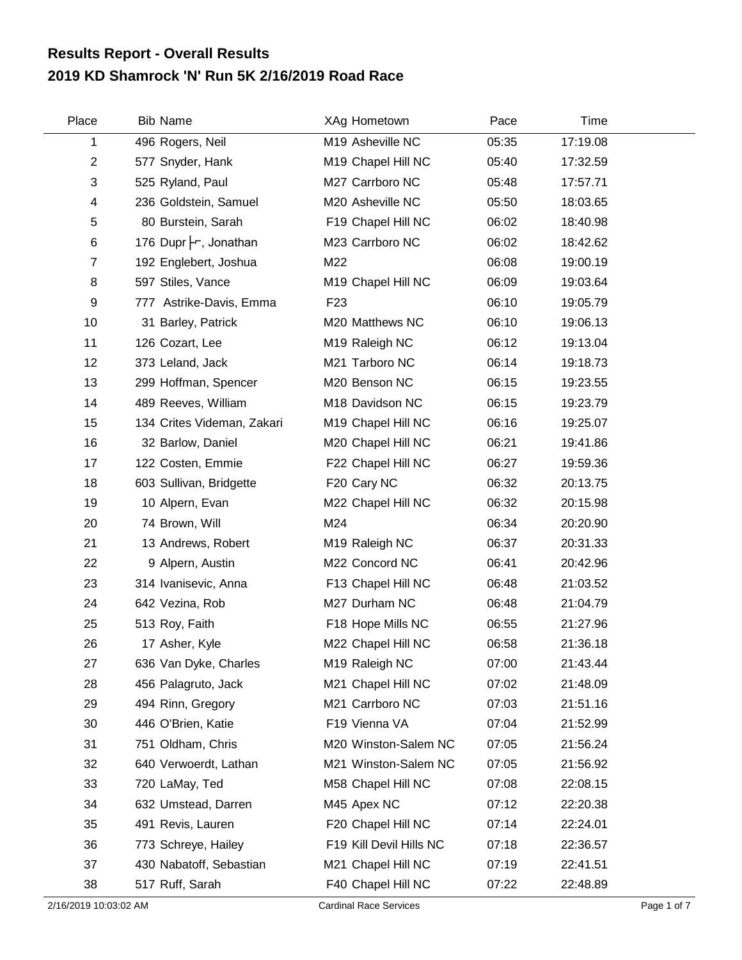## **2019 KD Shamrock 'N' Run 5K 2/16/2019 Road Race Results Report - Overall Results**

| Place          | <b>Bib Name</b>            | XAg Hometown            | Pace  | Time     |  |
|----------------|----------------------------|-------------------------|-------|----------|--|
| 1              | 496 Rogers, Neil           | M19 Asheville NC        | 05:35 | 17:19.08 |  |
| $\overline{c}$ | 577 Snyder, Hank           | M19 Chapel Hill NC      | 05:40 | 17:32.59 |  |
| 3              | 525 Ryland, Paul           | M27 Carrboro NC         | 05:48 | 17:57.71 |  |
| 4              | 236 Goldstein, Samuel      | M20 Asheville NC        | 05:50 | 18:03.65 |  |
| 5              | 80 Burstein, Sarah         | F19 Chapel Hill NC      | 06:02 | 18:40.98 |  |
| 6              | 176 Dupr -, Jonathan       | M23 Carrboro NC         | 06:02 | 18:42.62 |  |
| $\overline{7}$ | 192 Englebert, Joshua      | M22                     | 06:08 | 19:00.19 |  |
| 8              | 597 Stiles, Vance          | M19 Chapel Hill NC      | 06:09 | 19:03.64 |  |
| 9              | 777 Astrike-Davis, Emma    | F <sub>23</sub>         | 06:10 | 19:05.79 |  |
| 10             | 31 Barley, Patrick         | M20 Matthews NC         | 06:10 | 19:06.13 |  |
| 11             | 126 Cozart, Lee            | M19 Raleigh NC          | 06:12 | 19:13.04 |  |
| 12             | 373 Leland, Jack           | M21 Tarboro NC          | 06:14 | 19:18.73 |  |
| 13             | 299 Hoffman, Spencer       | M20 Benson NC           | 06:15 | 19:23.55 |  |
| 14             | 489 Reeves, William        | M18 Davidson NC         | 06:15 | 19:23.79 |  |
| 15             | 134 Crites Videman, Zakari | M19 Chapel Hill NC      | 06:16 | 19:25.07 |  |
| 16             | 32 Barlow, Daniel          | M20 Chapel Hill NC      | 06:21 | 19:41.86 |  |
| 17             | 122 Costen, Emmie          | F22 Chapel Hill NC      | 06:27 | 19:59.36 |  |
| 18             | 603 Sullivan, Bridgette    | F20 Cary NC             | 06:32 | 20:13.75 |  |
| 19             | 10 Alpern, Evan            | M22 Chapel Hill NC      | 06:32 | 20:15.98 |  |
| 20             | 74 Brown, Will             | M24                     | 06:34 | 20:20.90 |  |
| 21             | 13 Andrews, Robert         | M19 Raleigh NC          | 06:37 | 20:31.33 |  |
| 22             | 9 Alpern, Austin           | M22 Concord NC          | 06:41 | 20:42.96 |  |
| 23             | 314 Ivanisevic, Anna       | F13 Chapel Hill NC      | 06:48 | 21:03.52 |  |
| 24             | 642 Vezina, Rob            | M27 Durham NC           | 06:48 | 21:04.79 |  |
| 25             | 513 Roy, Faith             | F18 Hope Mills NC       | 06:55 | 21:27.96 |  |
| 26             | 17 Asher, Kyle             | M22 Chapel Hill NC      | 06:58 | 21:36.18 |  |
| 27             | 636 Van Dyke, Charles      | M19 Raleigh NC          | 07:00 | 21:43.44 |  |
| 28             | 456 Palagruto, Jack        | M21 Chapel Hill NC      | 07:02 | 21:48.09 |  |
| 29             | 494 Rinn, Gregory          | M21 Carrboro NC         | 07:03 | 21:51.16 |  |
| 30             | 446 O'Brien, Katie         | F19 Vienna VA           | 07:04 | 21:52.99 |  |
| 31             | 751 Oldham, Chris          | M20 Winston-Salem NC    | 07:05 | 21:56.24 |  |
| 32             | 640 Verwoerdt, Lathan      | M21 Winston-Salem NC    | 07:05 | 21:56.92 |  |
| 33             | 720 LaMay, Ted             | M58 Chapel Hill NC      | 07:08 | 22:08.15 |  |
| 34             | 632 Umstead, Darren        | M45 Apex NC             | 07:12 | 22:20.38 |  |
| 35             | 491 Revis, Lauren          | F20 Chapel Hill NC      | 07:14 | 22:24.01 |  |
| 36             | 773 Schreye, Hailey        | F19 Kill Devil Hills NC | 07:18 | 22:36.57 |  |
| 37             | 430 Nabatoff, Sebastian    | M21 Chapel Hill NC      | 07:19 | 22:41.51 |  |
| 38             | 517 Ruff, Sarah            | F40 Chapel Hill NC      | 07:22 | 22:48.89 |  |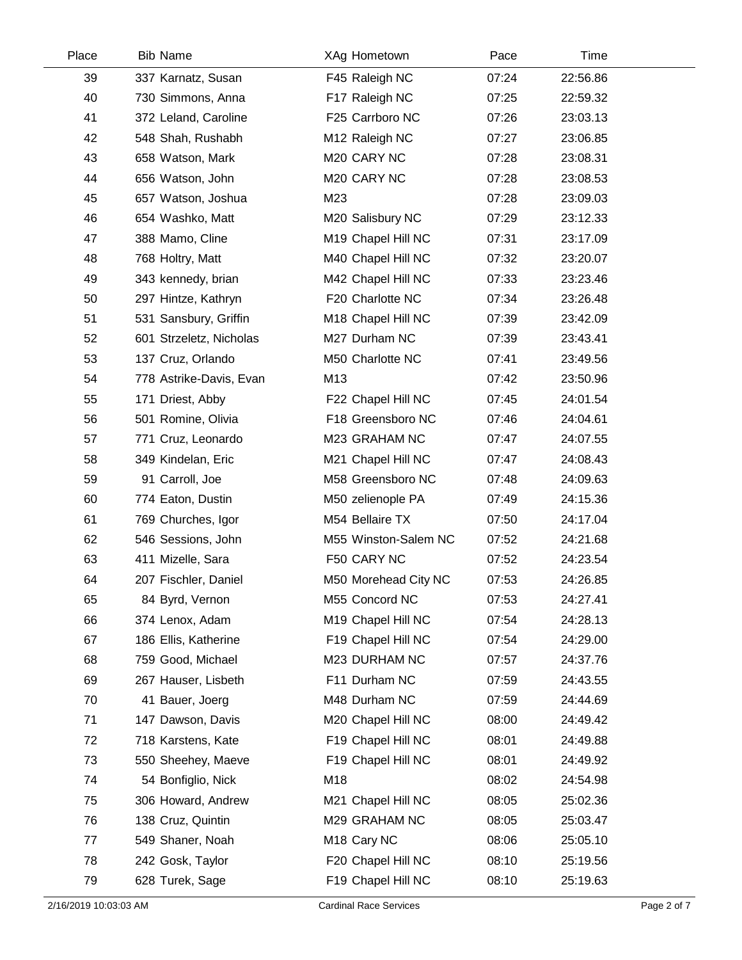| Place | <b>Bib Name</b>         | XAg Hometown            | Pace  | Time     |  |
|-------|-------------------------|-------------------------|-------|----------|--|
| 39    | 337 Karnatz, Susan      | F45 Raleigh NC          | 07:24 | 22:56.86 |  |
| 40    | 730 Simmons, Anna       | F17 Raleigh NC          | 07:25 | 22:59.32 |  |
| 41    | 372 Leland, Caroline    | F25 Carrboro NC         | 07:26 | 23:03.13 |  |
| 42    | 548 Shah, Rushabh       | M12 Raleigh NC          | 07:27 | 23:06.85 |  |
| 43    | 658 Watson, Mark        | M20 CARY NC             | 07:28 | 23:08.31 |  |
| 44    | 656 Watson, John        | M20 CARY NC             | 07:28 | 23:08.53 |  |
| 45    | 657 Watson, Joshua      | M23                     | 07:28 | 23:09.03 |  |
| 46    | 654 Washko, Matt        | M20 Salisbury NC        | 07:29 | 23:12.33 |  |
| 47    | 388 Mamo, Cline         | M19 Chapel Hill NC      | 07:31 | 23:17.09 |  |
| 48    | 768 Holtry, Matt        | M40 Chapel Hill NC      | 07:32 | 23:20.07 |  |
| 49    | 343 kennedy, brian      | M42 Chapel Hill NC      | 07:33 | 23:23.46 |  |
| 50    | 297 Hintze, Kathryn     | F20 Charlotte NC        | 07:34 | 23:26.48 |  |
| 51    | 531 Sansbury, Griffin   | M18 Chapel Hill NC      | 07:39 | 23:42.09 |  |
| 52    | 601 Strzeletz, Nicholas | M27 Durham NC           | 07:39 | 23:43.41 |  |
| 53    | 137 Cruz, Orlando       | M50 Charlotte NC        | 07:41 | 23:49.56 |  |
| 54    | 778 Astrike-Davis, Evan | M13                     | 07:42 | 23:50.96 |  |
| 55    | 171 Driest, Abby        | F22 Chapel Hill NC      | 07:45 | 24:01.54 |  |
| 56    | 501 Romine, Olivia      | F18 Greensboro NC       | 07:46 | 24:04.61 |  |
| 57    | 771 Cruz, Leonardo      | M23 GRAHAM NC           | 07:47 | 24:07.55 |  |
| 58    | 349 Kindelan, Eric      | M21 Chapel Hill NC      | 07:47 | 24:08.43 |  |
| 59    | 91 Carroll, Joe         | M58 Greensboro NC       | 07:48 | 24:09.63 |  |
| 60    | 774 Eaton, Dustin       | M50 zelienople PA       | 07:49 | 24:15.36 |  |
| 61    | 769 Churches, Igor      | M54 Bellaire TX         | 07:50 | 24:17.04 |  |
| 62    | 546 Sessions, John      | M55 Winston-Salem NC    | 07:52 | 24:21.68 |  |
| 63    | 411 Mizelle, Sara       | F50 CARY NC             | 07:52 | 24:23.54 |  |
| 64    | 207 Fischler, Daniel    | M50 Morehead City NC    | 07:53 | 24:26.85 |  |
| 65    | 84 Byrd, Vernon         | M55 Concord NC          | 07:53 | 24:27.41 |  |
| 66    | 374 Lenox, Adam         | M19 Chapel Hill NC      | 07:54 | 24:28.13 |  |
| 67    | 186 Ellis, Katherine    | F19 Chapel Hill NC      | 07:54 | 24:29.00 |  |
| 68    | 759 Good, Michael       | M23 DURHAM NC           | 07:57 | 24:37.76 |  |
| 69    | 267 Hauser, Lisbeth     | F11 Durham NC           | 07:59 | 24:43.55 |  |
| 70    | 41 Bauer, Joerg         | M48 Durham NC           | 07:59 | 24:44.69 |  |
| 71    | 147 Dawson, Davis       | M20 Chapel Hill NC      | 08:00 | 24:49.42 |  |
| 72    | 718 Karstens, Kate      | F19 Chapel Hill NC      | 08:01 | 24:49.88 |  |
| 73    | 550 Sheehey, Maeve      | F19 Chapel Hill NC      | 08:01 | 24:49.92 |  |
| 74    | 54 Bonfiglio, Nick      | M18                     | 08:02 | 24:54.98 |  |
| 75    | 306 Howard, Andrew      | M21 Chapel Hill NC      | 08:05 | 25:02.36 |  |
| 76    | 138 Cruz, Quintin       | M29 GRAHAM NC           | 08:05 | 25:03.47 |  |
| 77    | 549 Shaner, Noah        | M <sub>18</sub> Cary NC | 08:06 | 25:05.10 |  |
| 78    | 242 Gosk, Taylor        | F20 Chapel Hill NC      | 08:10 | 25:19.56 |  |
| 79    | 628 Turek, Sage         | F19 Chapel Hill NC      | 08:10 | 25:19.63 |  |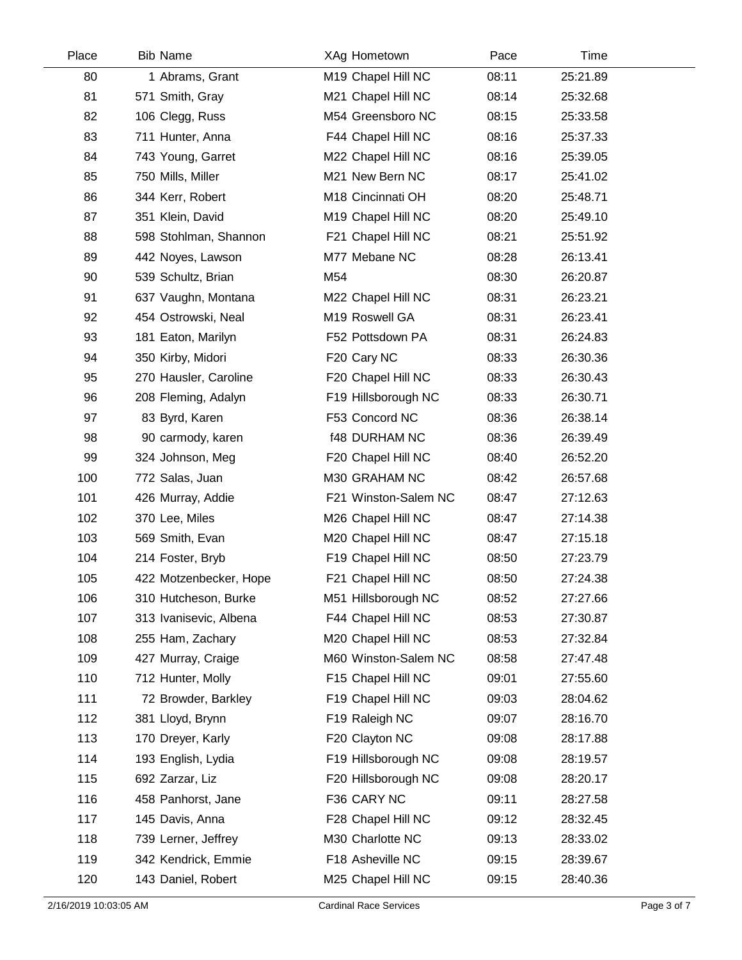| Place | <b>Bib Name</b>        |     | XAg Hometown         | Pace  | Time     |  |
|-------|------------------------|-----|----------------------|-------|----------|--|
| 80    | 1 Abrams, Grant        |     | M19 Chapel Hill NC   | 08:11 | 25:21.89 |  |
| 81    | 571 Smith, Gray        |     | M21 Chapel Hill NC   | 08:14 | 25:32.68 |  |
| 82    | 106 Clegg, Russ        |     | M54 Greensboro NC    | 08:15 | 25:33.58 |  |
| 83    | 711 Hunter, Anna       |     | F44 Chapel Hill NC   | 08:16 | 25:37.33 |  |
| 84    | 743 Young, Garret      |     | M22 Chapel Hill NC   | 08:16 | 25:39.05 |  |
| 85    | 750 Mills, Miller      |     | M21 New Bern NC      | 08:17 | 25:41.02 |  |
| 86    | 344 Kerr, Robert       |     | M18 Cincinnati OH    | 08:20 | 25:48.71 |  |
| 87    | 351 Klein, David       |     | M19 Chapel Hill NC   | 08:20 | 25:49.10 |  |
| 88    | 598 Stohlman, Shannon  |     | F21 Chapel Hill NC   | 08:21 | 25:51.92 |  |
| 89    | 442 Noyes, Lawson      |     | M77 Mebane NC        | 08:28 | 26:13.41 |  |
| 90    | 539 Schultz, Brian     | M54 |                      | 08:30 | 26:20.87 |  |
| 91    | 637 Vaughn, Montana    |     | M22 Chapel Hill NC   | 08:31 | 26:23.21 |  |
| 92    | 454 Ostrowski, Neal    |     | M19 Roswell GA       | 08:31 | 26:23.41 |  |
| 93    | 181 Eaton, Marilyn     |     | F52 Pottsdown PA     | 08:31 | 26:24.83 |  |
| 94    | 350 Kirby, Midori      |     | F20 Cary NC          | 08:33 | 26:30.36 |  |
| 95    | 270 Hausler, Caroline  |     | F20 Chapel Hill NC   | 08:33 | 26:30.43 |  |
| 96    | 208 Fleming, Adalyn    |     | F19 Hillsborough NC  | 08:33 | 26:30.71 |  |
| 97    | 83 Byrd, Karen         |     | F53 Concord NC       | 08:36 | 26:38.14 |  |
| 98    | 90 carmody, karen      |     | <b>f48 DURHAM NC</b> | 08:36 | 26:39.49 |  |
| 99    | 324 Johnson, Meg       |     | F20 Chapel Hill NC   | 08:40 | 26:52.20 |  |
| 100   | 772 Salas, Juan        |     | M30 GRAHAM NC        | 08:42 | 26:57.68 |  |
| 101   | 426 Murray, Addie      |     | F21 Winston-Salem NC | 08:47 | 27:12.63 |  |
| 102   | 370 Lee, Miles         |     | M26 Chapel Hill NC   | 08:47 | 27:14.38 |  |
| 103   | 569 Smith, Evan        |     | M20 Chapel Hill NC   | 08:47 | 27:15.18 |  |
| 104   | 214 Foster, Bryb       |     | F19 Chapel Hill NC   | 08:50 | 27:23.79 |  |
| 105   | 422 Motzenbecker, Hope |     | F21 Chapel Hill NC   | 08:50 | 27:24.38 |  |
| 106   | 310 Hutcheson, Burke   |     | M51 Hillsborough NC  | 08:52 | 27:27.66 |  |
| 107   | 313 Ivanisevic, Albena |     | F44 Chapel Hill NC   | 08:53 | 27:30.87 |  |
| 108   | 255 Ham, Zachary       |     | M20 Chapel Hill NC   | 08:53 | 27:32.84 |  |
| 109   | 427 Murray, Craige     |     | M60 Winston-Salem NC | 08:58 | 27:47.48 |  |
| 110   | 712 Hunter, Molly      |     | F15 Chapel Hill NC   | 09:01 | 27:55.60 |  |
| 111   | 72 Browder, Barkley    |     | F19 Chapel Hill NC   | 09:03 | 28:04.62 |  |
| 112   | 381 Lloyd, Brynn       |     | F19 Raleigh NC       | 09:07 | 28:16.70 |  |
| 113   | 170 Dreyer, Karly      |     | F20 Clayton NC       | 09:08 | 28:17.88 |  |
| 114   | 193 English, Lydia     |     | F19 Hillsborough NC  | 09:08 | 28:19.57 |  |
| 115   | 692 Zarzar, Liz        |     | F20 Hillsborough NC  | 09:08 | 28:20.17 |  |
| 116   | 458 Panhorst, Jane     |     | F36 CARY NC          | 09:11 | 28:27.58 |  |
| 117   | 145 Davis, Anna        |     | F28 Chapel Hill NC   | 09:12 | 28:32.45 |  |
| 118   | 739 Lerner, Jeffrey    |     | M30 Charlotte NC     | 09:13 | 28:33.02 |  |
| 119   | 342 Kendrick, Emmie    |     | F18 Asheville NC     | 09:15 | 28:39.67 |  |
| 120   | 143 Daniel, Robert     |     | M25 Chapel Hill NC   | 09:15 | 28:40.36 |  |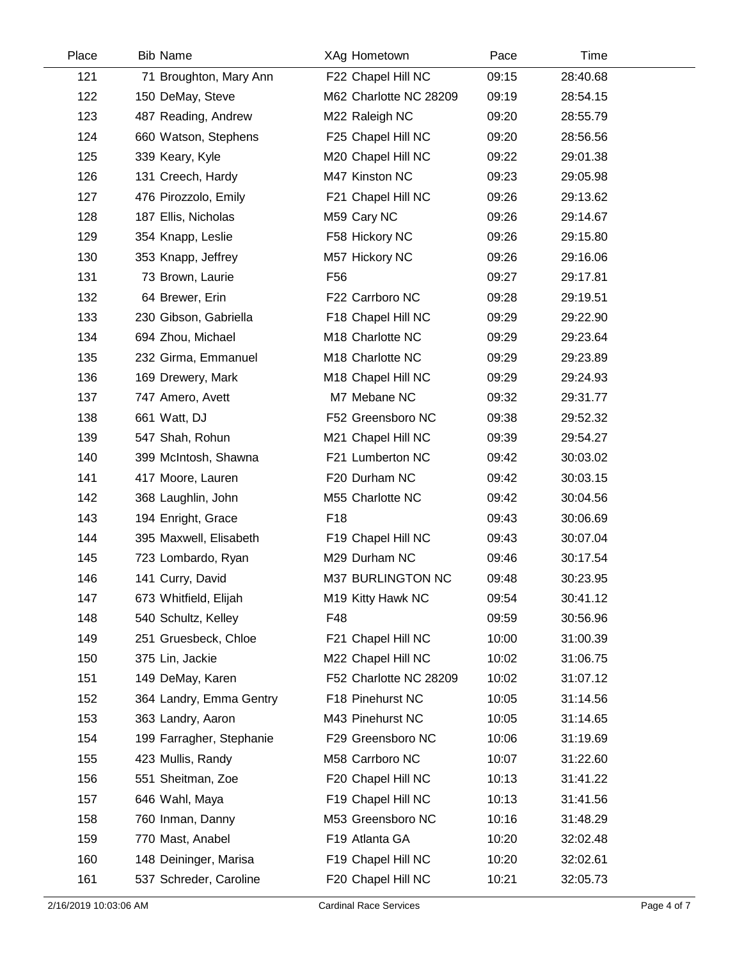| Place | <b>Bib Name</b>          | XAg Hometown           | Pace  | Time     |  |
|-------|--------------------------|------------------------|-------|----------|--|
| 121   | 71 Broughton, Mary Ann   | F22 Chapel Hill NC     | 09:15 | 28:40.68 |  |
| 122   | 150 DeMay, Steve         | M62 Charlotte NC 28209 | 09:19 | 28:54.15 |  |
| 123   | 487 Reading, Andrew      | M22 Raleigh NC         | 09:20 | 28:55.79 |  |
| 124   | 660 Watson, Stephens     | F25 Chapel Hill NC     | 09:20 | 28:56.56 |  |
| 125   | 339 Keary, Kyle          | M20 Chapel Hill NC     | 09:22 | 29:01.38 |  |
| 126   | 131 Creech, Hardy        | M47 Kinston NC         | 09:23 | 29:05.98 |  |
| 127   | 476 Pirozzolo, Emily     | F21 Chapel Hill NC     | 09:26 | 29:13.62 |  |
| 128   | 187 Ellis, Nicholas      | M59 Cary NC            | 09:26 | 29:14.67 |  |
| 129   | 354 Knapp, Leslie        | F58 Hickory NC         | 09:26 | 29:15.80 |  |
| 130   | 353 Knapp, Jeffrey       | M57 Hickory NC         | 09:26 | 29:16.06 |  |
| 131   | 73 Brown, Laurie         | F <sub>56</sub>        | 09:27 | 29:17.81 |  |
| 132   | 64 Brewer, Erin          | F22 Carrboro NC        | 09:28 | 29:19.51 |  |
| 133   | 230 Gibson, Gabriella    | F18 Chapel Hill NC     | 09:29 | 29:22.90 |  |
| 134   | 694 Zhou, Michael        | M18 Charlotte NC       | 09:29 | 29:23.64 |  |
| 135   | 232 Girma, Emmanuel      | M18 Charlotte NC       | 09:29 | 29:23.89 |  |
| 136   | 169 Drewery, Mark        | M18 Chapel Hill NC     | 09:29 | 29:24.93 |  |
| 137   | 747 Amero, Avett         | M7 Mebane NC           | 09:32 | 29:31.77 |  |
| 138   | 661 Watt, DJ             | F52 Greensboro NC      | 09:38 | 29:52.32 |  |
| 139   | 547 Shah, Rohun          | M21 Chapel Hill NC     | 09:39 | 29:54.27 |  |
| 140   | 399 McIntosh, Shawna     | F21 Lumberton NC       | 09:42 | 30:03.02 |  |
| 141   | 417 Moore, Lauren        | F20 Durham NC          | 09:42 | 30:03.15 |  |
| 142   | 368 Laughlin, John       | M55 Charlotte NC       | 09:42 | 30:04.56 |  |
| 143   | 194 Enright, Grace       | F <sub>18</sub>        | 09:43 | 30:06.69 |  |
| 144   | 395 Maxwell, Elisabeth   | F19 Chapel Hill NC     | 09:43 | 30:07.04 |  |
| 145   | 723 Lombardo, Ryan       | M29 Durham NC          | 09:46 | 30:17.54 |  |
| 146   | 141 Curry, David         | M37 BURLINGTON NC      | 09:48 | 30:23.95 |  |
| 147   | 673 Whitfield, Elijah    | M19 Kitty Hawk NC      | 09:54 | 30:41.12 |  |
| 148   | 540 Schultz, Kelley      | F48                    | 09:59 | 30:56.96 |  |
| 149   | 251 Gruesbeck, Chloe     | F21 Chapel Hill NC     | 10:00 | 31:00.39 |  |
| 150   | 375 Lin, Jackie          | M22 Chapel Hill NC     | 10:02 | 31:06.75 |  |
| 151   | 149 DeMay, Karen         | F52 Charlotte NC 28209 | 10:02 | 31:07.12 |  |
| 152   | 364 Landry, Emma Gentry  | F18 Pinehurst NC       | 10:05 | 31:14.56 |  |
| 153   | 363 Landry, Aaron        | M43 Pinehurst NC       | 10:05 | 31:14.65 |  |
| 154   | 199 Farragher, Stephanie | F29 Greensboro NC      | 10:06 | 31:19.69 |  |
| 155   | 423 Mullis, Randy        | M58 Carrboro NC        | 10:07 | 31:22.60 |  |
| 156   | 551 Sheitman, Zoe        | F20 Chapel Hill NC     | 10:13 | 31:41.22 |  |
| 157   | 646 Wahl, Maya           | F19 Chapel Hill NC     | 10:13 | 31:41.56 |  |
| 158   | 760 Inman, Danny         | M53 Greensboro NC      | 10:16 | 31:48.29 |  |
| 159   | 770 Mast, Anabel         | F19 Atlanta GA         | 10:20 | 32:02.48 |  |
| 160   | 148 Deininger, Marisa    | F19 Chapel Hill NC     | 10:20 | 32:02.61 |  |
| 161   | 537 Schreder, Caroline   | F20 Chapel Hill NC     | 10:21 | 32:05.73 |  |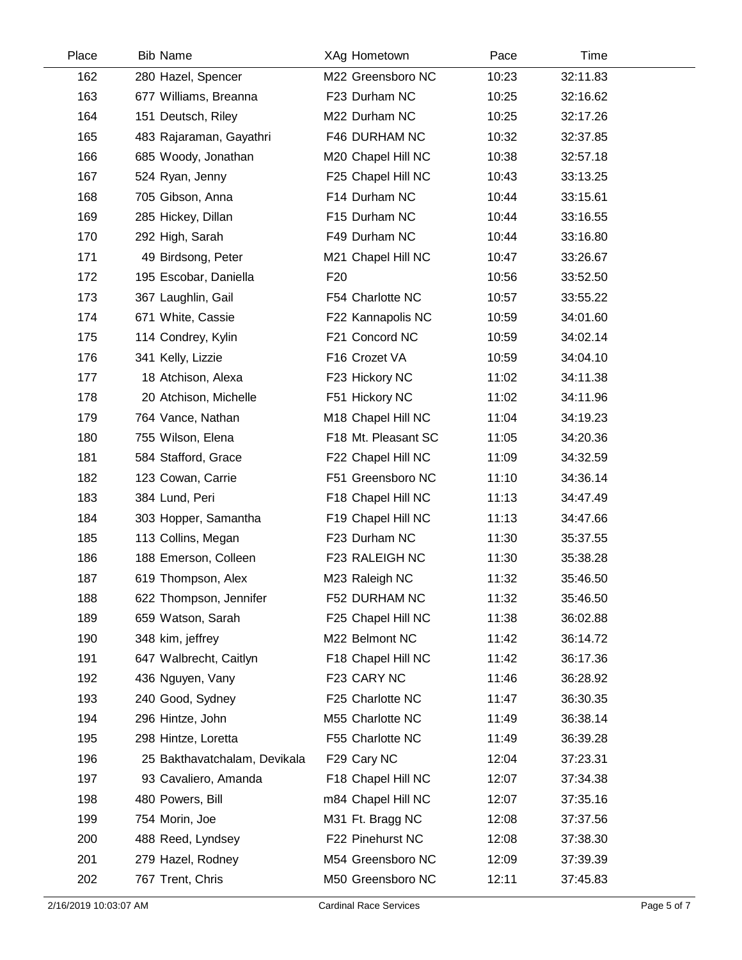| Place | <b>Bib Name</b>              | XAg Hometown        | Pace  | Time     |  |
|-------|------------------------------|---------------------|-------|----------|--|
| 162   | 280 Hazel, Spencer           | M22 Greensboro NC   | 10:23 | 32:11.83 |  |
| 163   | 677 Williams, Breanna        | F23 Durham NC       | 10:25 | 32:16.62 |  |
| 164   | 151 Deutsch, Riley           | M22 Durham NC       | 10:25 | 32:17.26 |  |
| 165   | 483 Rajaraman, Gayathri      | F46 DURHAM NC       | 10:32 | 32:37.85 |  |
| 166   | 685 Woody, Jonathan          | M20 Chapel Hill NC  | 10:38 | 32:57.18 |  |
| 167   | 524 Ryan, Jenny              | F25 Chapel Hill NC  | 10:43 | 33:13.25 |  |
| 168   | 705 Gibson, Anna             | F14 Durham NC       | 10:44 | 33:15.61 |  |
| 169   | 285 Hickey, Dillan           | F15 Durham NC       | 10:44 | 33:16.55 |  |
| 170   | 292 High, Sarah              | F49 Durham NC       | 10:44 | 33:16.80 |  |
| 171   | 49 Birdsong, Peter           | M21 Chapel Hill NC  | 10:47 | 33:26.67 |  |
| 172   | 195 Escobar, Daniella        | F <sub>20</sub>     | 10:56 | 33:52.50 |  |
| 173   | 367 Laughlin, Gail           | F54 Charlotte NC    | 10:57 | 33:55.22 |  |
| 174   | 671 White, Cassie            | F22 Kannapolis NC   | 10:59 | 34:01.60 |  |
| 175   | 114 Condrey, Kylin           | F21 Concord NC      | 10:59 | 34:02.14 |  |
| 176   | 341 Kelly, Lizzie            | F16 Crozet VA       | 10:59 | 34:04.10 |  |
| 177   | 18 Atchison, Alexa           | F23 Hickory NC      | 11:02 | 34:11.38 |  |
| 178   | 20 Atchison, Michelle        | F51 Hickory NC      | 11:02 | 34:11.96 |  |
| 179   | 764 Vance, Nathan            | M18 Chapel Hill NC  | 11:04 | 34:19.23 |  |
| 180   | 755 Wilson, Elena            | F18 Mt. Pleasant SC | 11:05 | 34:20.36 |  |
| 181   | 584 Stafford, Grace          | F22 Chapel Hill NC  | 11:09 | 34:32.59 |  |
| 182   | 123 Cowan, Carrie            | F51 Greensboro NC   | 11:10 | 34:36.14 |  |
| 183   | 384 Lund, Peri               | F18 Chapel Hill NC  | 11:13 | 34:47.49 |  |
| 184   | 303 Hopper, Samantha         | F19 Chapel Hill NC  | 11:13 | 34:47.66 |  |
| 185   | 113 Collins, Megan           | F23 Durham NC       | 11:30 | 35:37.55 |  |
| 186   | 188 Emerson, Colleen         | F23 RALEIGH NC      | 11:30 | 35:38.28 |  |
| 187   | 619 Thompson, Alex           | M23 Raleigh NC      | 11:32 | 35:46.50 |  |
| 188   | 622 Thompson, Jennifer       | F52 DURHAM NC       | 11:32 | 35:46.50 |  |
| 189   | 659 Watson, Sarah            | F25 Chapel Hill NC  | 11:38 | 36:02.88 |  |
| 190   | 348 kim, jeffrey             | M22 Belmont NC      | 11:42 | 36:14.72 |  |
| 191   | 647 Walbrecht, Caitlyn       | F18 Chapel Hill NC  | 11:42 | 36:17.36 |  |
| 192   | 436 Nguyen, Vany             | F23 CARY NC         | 11:46 | 36:28.92 |  |
| 193   | 240 Good, Sydney             | F25 Charlotte NC    | 11:47 | 36:30.35 |  |
| 194   | 296 Hintze, John             | M55 Charlotte NC    | 11:49 | 36:38.14 |  |
| 195   | 298 Hintze, Loretta          | F55 Charlotte NC    | 11:49 | 36:39.28 |  |
| 196   | 25 Bakthavatchalam, Devikala | F29 Cary NC         | 12:04 | 37:23.31 |  |
| 197   | 93 Cavaliero, Amanda         | F18 Chapel Hill NC  | 12:07 | 37:34.38 |  |
| 198   | 480 Powers, Bill             | m84 Chapel Hill NC  | 12:07 | 37:35.16 |  |
| 199   | 754 Morin, Joe               | M31 Ft. Bragg NC    | 12:08 | 37:37.56 |  |
| 200   | 488 Reed, Lyndsey            | F22 Pinehurst NC    | 12:08 | 37:38.30 |  |
| 201   | 279 Hazel, Rodney            | M54 Greensboro NC   | 12:09 | 37:39.39 |  |
| 202   | 767 Trent, Chris             | M50 Greensboro NC   | 12:11 | 37:45.83 |  |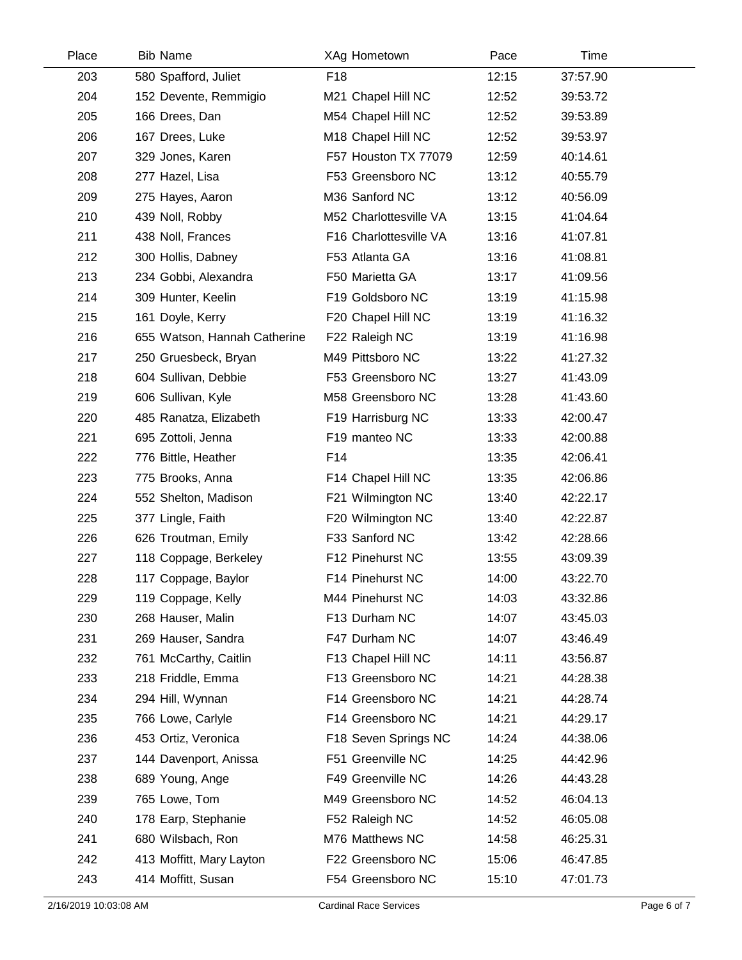| Place | <b>Bib Name</b>              | XAg Hometown           | Pace  | Time     |  |
|-------|------------------------------|------------------------|-------|----------|--|
| 203   | 580 Spafford, Juliet         | F18                    | 12:15 | 37:57.90 |  |
| 204   | 152 Devente, Remmigio        | M21 Chapel Hill NC     | 12:52 | 39:53.72 |  |
| 205   | 166 Drees, Dan               | M54 Chapel Hill NC     | 12:52 | 39:53.89 |  |
| 206   | 167 Drees, Luke              | M18 Chapel Hill NC     | 12:52 | 39:53.97 |  |
| 207   | 329 Jones, Karen             | F57 Houston TX 77079   | 12:59 | 40:14.61 |  |
| 208   | 277 Hazel, Lisa              | F53 Greensboro NC      | 13:12 | 40:55.79 |  |
| 209   | 275 Hayes, Aaron             | M36 Sanford NC         | 13:12 | 40:56.09 |  |
| 210   | 439 Noll, Robby              | M52 Charlottesville VA | 13:15 | 41:04.64 |  |
| 211   | 438 Noll, Frances            | F16 Charlottesville VA | 13:16 | 41:07.81 |  |
| 212   | 300 Hollis, Dabney           | F53 Atlanta GA         | 13:16 | 41:08.81 |  |
| 213   | 234 Gobbi, Alexandra         | F50 Marietta GA        | 13:17 | 41:09.56 |  |
| 214   | 309 Hunter, Keelin           | F19 Goldsboro NC       | 13:19 | 41:15.98 |  |
| 215   | 161 Doyle, Kerry             | F20 Chapel Hill NC     | 13:19 | 41:16.32 |  |
| 216   | 655 Watson, Hannah Catherine | F22 Raleigh NC         | 13:19 | 41:16.98 |  |
| 217   | 250 Gruesbeck, Bryan         | M49 Pittsboro NC       | 13:22 | 41:27.32 |  |
| 218   | 604 Sullivan, Debbie         | F53 Greensboro NC      | 13:27 | 41:43.09 |  |
| 219   | 606 Sullivan, Kyle           | M58 Greensboro NC      | 13:28 | 41:43.60 |  |
| 220   | 485 Ranatza, Elizabeth       | F19 Harrisburg NC      | 13:33 | 42:00.47 |  |
| 221   | 695 Zottoli, Jenna           | F19 manteo NC          | 13:33 | 42:00.88 |  |
| 222   | 776 Bittle, Heather          | F14                    | 13:35 | 42:06.41 |  |
| 223   | 775 Brooks, Anna             | F14 Chapel Hill NC     | 13:35 | 42:06.86 |  |
| 224   | 552 Shelton, Madison         | F21 Wilmington NC      | 13:40 | 42:22.17 |  |
| 225   | 377 Lingle, Faith            | F20 Wilmington NC      | 13:40 | 42:22.87 |  |
| 226   | 626 Troutman, Emily          | F33 Sanford NC         | 13:42 | 42:28.66 |  |
| 227   | 118 Coppage, Berkeley        | F12 Pinehurst NC       | 13:55 | 43:09.39 |  |
| 228   | 117 Coppage, Baylor          | F14 Pinehurst NC       | 14:00 | 43:22.70 |  |
| 229   | 119 Coppage, Kelly           | M44 Pinehurst NC       | 14:03 | 43:32.86 |  |
| 230   | 268 Hauser, Malin            | F13 Durham NC          | 14:07 | 43:45.03 |  |
| 231   | 269 Hauser, Sandra           | F47 Durham NC          | 14:07 | 43:46.49 |  |
| 232   | 761 McCarthy, Caitlin        | F13 Chapel Hill NC     | 14:11 | 43:56.87 |  |
| 233   | 218 Friddle, Emma            | F13 Greensboro NC      | 14:21 | 44:28.38 |  |
| 234   | 294 Hill, Wynnan             | F14 Greensboro NC      | 14:21 | 44:28.74 |  |
| 235   | 766 Lowe, Carlyle            | F14 Greensboro NC      | 14:21 | 44:29.17 |  |
| 236   | 453 Ortiz, Veronica          | F18 Seven Springs NC   | 14:24 | 44:38.06 |  |
| 237   | 144 Davenport, Anissa        | F51 Greenville NC      | 14:25 | 44:42.96 |  |
| 238   | 689 Young, Ange              | F49 Greenville NC      | 14:26 | 44:43.28 |  |
| 239   | 765 Lowe, Tom                | M49 Greensboro NC      | 14:52 | 46:04.13 |  |
| 240   | 178 Earp, Stephanie          | F52 Raleigh NC         | 14:52 | 46:05.08 |  |
| 241   | 680 Wilsbach, Ron            | M76 Matthews NC        | 14:58 | 46:25.31 |  |
| 242   | 413 Moffitt, Mary Layton     | F22 Greensboro NC      | 15:06 | 46:47.85 |  |
| 243   | 414 Moffitt, Susan           | F54 Greensboro NC      | 15:10 | 47:01.73 |  |